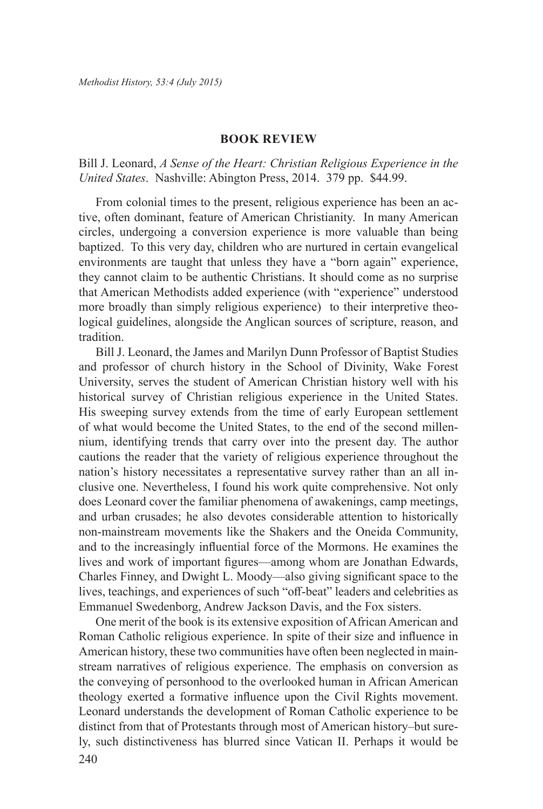## **BOOK REVIEW**

Bill J. Leonard, *A Sense of the Heart: Christian Religious Experience in the United States*. Nashville: Abington Press, 2014. 379 pp. \$44.99.

From colonial times to the present, religious experience has been an active, often dominant, feature of American Christianity. In many American circles, undergoing a conversion experience is more valuable than being baptized. To this very day, children who are nurtured in certain evangelical environments are taught that unless they have a "born again" experience, they cannot claim to be authentic Christians. It should come as no surprise that American Methodists added experience (with "experience" understood more broadly than simply religious experience) to their interpretive theological guidelines, alongside the Anglican sources of scripture, reason, and tradition.

Bill J. Leonard, the James and Marilyn Dunn Professor of Baptist Studies and professor of church history in the School of Divinity, Wake Forest University, serves the student of American Christian history well with his historical survey of Christian religious experience in the United States. His sweeping survey extends from the time of early European settlement of what would become the United States, to the end of the second millennium, identifying trends that carry over into the present day. The author cautions the reader that the variety of religious experience throughout the nation's history necessitates a representative survey rather than an all inclusive one. Nevertheless, I found his work quite comprehensive. Not only does Leonard cover the familiar phenomena of awakenings, camp meetings, and urban crusades; he also devotes considerable attention to historically non-mainstream movements like the Shakers and the Oneida Community, and to the increasingly influential force of the Mormons. He examines the lives and work of important figures—among whom are Jonathan Edwards, Charles Finney, and Dwight L. Moody—also giving significant space to the lives, teachings, and experiences of such "off-beat" leaders and celebrities as Emmanuel Swedenborg, Andrew Jackson Davis, and the Fox sisters.

240 One merit of the book is its extensive exposition of African American and Roman Catholic religious experience. In spite of their size and influence in American history, these two communities have often been neglected in mainstream narratives of religious experience. The emphasis on conversion as the conveying of personhood to the overlooked human in African American theology exerted a formative influence upon the Civil Rights movement. Leonard understands the development of Roman Catholic experience to be distinct from that of Protestants through most of American history–but surely, such distinctiveness has blurred since Vatican II. Perhaps it would be